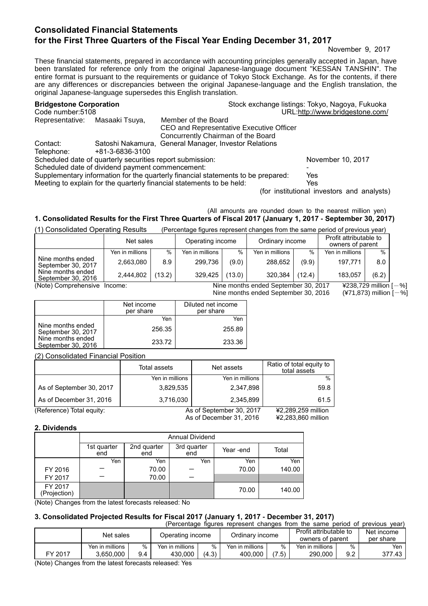# **Consolidated Financial Statements for the First Three Quarters of the Fiscal Year Ending December 31, 2017**

November 9, 2017

These financial statements, prepared in accordance with accounting principles generally accepted in Japan, have been translated for reference only from the original Japanese-language document "KESSAN TANSHIN". The entire format is pursuant to the requirements or guidance of Tokyo Stock Exchange. As for the contents, if there are any differences or discrepancies between the original Japanese-language and the English translation, the original Japanese-language supersedes this English translation.

| <b>Bridgestone Corporation</b> |                                                           |                                                                                  | Stock exchange listings: Tokyo, Nagoya, Fukuoka |
|--------------------------------|-----------------------------------------------------------|----------------------------------------------------------------------------------|-------------------------------------------------|
| Code number:5108               |                                                           |                                                                                  | URL:http://www.bridgestone.com/                 |
| Representative:                | Masaaki Tsuya,                                            | Member of the Board                                                              |                                                 |
|                                |                                                           | CEO and Representative Executive Officer                                         |                                                 |
|                                |                                                           | Concurrently Chairman of the Board                                               |                                                 |
| Contact:                       |                                                           | Satoshi Nakamura, General Manager, Investor Relations                            |                                                 |
| Telephone:                     | +81-3-6836-3100                                           |                                                                                  |                                                 |
|                                | Scheduled date of quarterly securities report submission: |                                                                                  | November 10, 2017                               |
|                                | Scheduled date of dividend payment commencement:          |                                                                                  |                                                 |
|                                |                                                           | Supplementary information for the quarterly financial statements to be prepared: | Yes                                             |
|                                |                                                           | Meeting to explain for the quarterly financial statements to be held:            | Yes                                             |
|                                |                                                           |                                                                                  | (for institutional investors and analysts)      |

#### (All amounts are rounded down to the nearest million yen) **1. Consolidated Results for the First Three Quarters of Fiscal 2017 (January 1, 2017 - September 30, 2017)**

(1) Consolidated Operating Results (Percentage figures represent changes from the same period of previous year)

|                                         | Net sales       |        | Operating income |        | Ordinary income |        | Profit attributable to<br>owners of parent |       |
|-----------------------------------------|-----------------|--------|------------------|--------|-----------------|--------|--------------------------------------------|-------|
|                                         | Yen in millions | %      | Yen in millions  | %      | Yen in millions | %      | Yen in millions                            | $\%$  |
| Nine months ended<br>September 30, 2017 | 2,663,080       | 8.9    | 299.736          | (9.0)  | 288.652         | (9.9)  | 197.771                                    | 8.0   |
| Nine months ended<br>September 30, 2016 | 2,444,802       | (13.2) | 329.425          | (13.0) | 320.384         | (12.4) | 183.057                                    | (6.2) |

(Note) Comprehensive Income: Nine months ended September 30, 2017 ¥238,729 million [-%]<br>Nine months ended September 30, 2016 (¥71,873) million [-%] Nine months ended September 30, 2016

|                                         | Net income<br>per share | Diluted net income<br>per share |
|-----------------------------------------|-------------------------|---------------------------------|
|                                         | Yen                     | Yen                             |
| Nine months ended<br>September 30, 2017 | 256.35                  | 255.89                          |
| Nine months ended<br>September 30, 2016 | 233.72                  | 233.36                          |

(2) Consolidated Financial Position

|                           | Total assets    | Net assets               | Ratio of total equity to<br>total assets |
|---------------------------|-----------------|--------------------------|------------------------------------------|
|                           | Yen in millions | Yen in millions          | $\%$                                     |
| As of September 30, 2017  | 3,829,535       | 2,347,898                | 59.8                                     |
| As of December 31, 2016   | 3,716,030       | 2.345.899                | 61.5                                     |
| (Reference) Total equity: |                 | As of September 30, 2017 | ¥2,289,259 million                       |
|                           |                 | As of December 31, 2016  | ¥2,283,860 million                       |

#### **2. Dividends**

|                         | Annual Dividend    |                    |                    |           |        |  |  |
|-------------------------|--------------------|--------------------|--------------------|-----------|--------|--|--|
|                         | 1st quarter<br>end | 2nd quarter<br>end | 3rd quarter<br>end | Year -end | Total  |  |  |
|                         | Yen                | Yen                | Yen                | Yen       | Yen    |  |  |
| FY 2016                 |                    | 70.00              |                    | 70.00     | 140.00 |  |  |
| FY 2017                 |                    | 70.00              |                    |           |        |  |  |
| FY 2017<br>(Projection) |                    |                    |                    | 70.00     | 140.00 |  |  |

(Note) Changes from the latest forecasts released: No

# **3. Consolidated Projected Results for Fiscal 2017 (January 1, 2017 - December 31, 2017)**

| (Percentage figures represent changes from the same period of previous year) |                 |      |                  |       |                 |       |                                            |      |                         |
|------------------------------------------------------------------------------|-----------------|------|------------------|-------|-----------------|-------|--------------------------------------------|------|-------------------------|
|                                                                              | Net sales       |      | Operating income |       | Ordinary income |       | Profit attributable to<br>owners of parent |      | Net income<br>per share |
|                                                                              | Yen in millions | $\%$ | Yen in millions  | $\%$  | Yen in millions | %     | Yen in millions                            | $\%$ | Yen I                   |
| FY 2017                                                                      | 3.650.000       | 9.4  | 430.000          | (4.3) | 400.000         | (7.5) | 290.000                                    | 9.2  | 377.43                  |

(Note) Changes from the latest forecasts released: Yes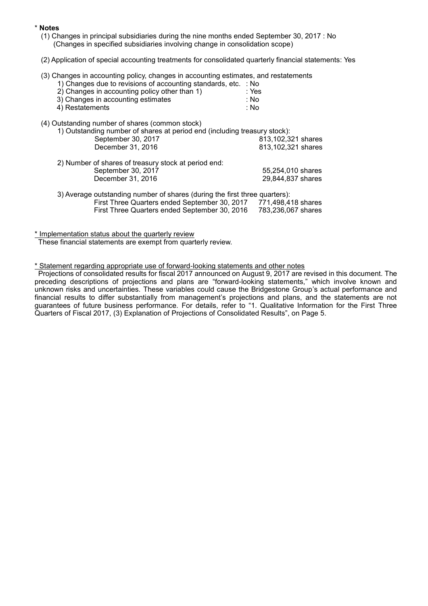#### \* **Notes**

- (1) Changes in principal subsidiaries during the nine months ended September 30, 2017 : No (Changes in specified subsidiaries involving change in consolidation scope)
- (2) Application of special accounting treatments for consolidated quarterly financial statements: Yes
- (3) Changes in accounting policy, changes in accounting estimates, and restatements
	- 1) Changes due to revisions of accounting standards, etc. : No  $2)$  Changes in accounting policy other than 1)
	- 3) Changes in accounting estimates  $\begin{array}{ccc} 3 & 3 & \text{Nol} \\ 4 & 8 & 1 & \text{Nol} \end{array}$ 
		- $4)$  Restatements
- (4) Outstanding number of shares (common stock)

| 1) Outstanding number of shares at period end (including treasury stock):  |                    |  |  |  |
|----------------------------------------------------------------------------|--------------------|--|--|--|
| September 30, 2017                                                         | 813,102,321 shares |  |  |  |
| December 31, 2016                                                          | 813,102,321 shares |  |  |  |
| 2) Number of shares of treasury stock at period end:                       |                    |  |  |  |
| September 30, 2017                                                         | 55,254,010 shares  |  |  |  |
| December 31, 2016                                                          | 29,844,837 shares  |  |  |  |
| 3) Average outstanding number of shares (during the first three quarters): |                    |  |  |  |

First Three Quarters ended September 30, 2017 771,498,418 shares First Three Quarters ended September 30, 2016 783,236,067 shares

\* Implementation status about the quarterly review

These financial statements are exempt from quarterly review.

## \* Statement regarding appropriate use of forward-looking statements and other notes

Projections of consolidated results for fiscal 2017 announced on August 9, 2017 are revised in this document. The preceding descriptions of projections and plans are "forward-looking statements," which involve known and unknown risks and uncertainties. These variables could cause the Bridgestone Group's actual performance and financial results to differ substantially from management's projections and plans, and the statements are not guarantees of future business performance. For details, refer to "1. Qualitative Information for the First Three Quarters of Fiscal 2017, (3) Explanation of Projections of Consolidated Results", on Page 5.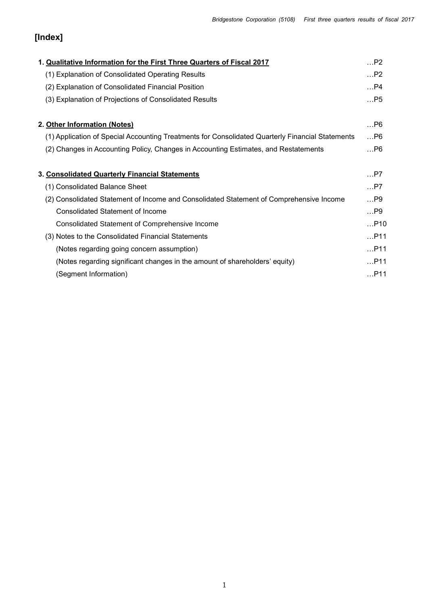# **[Index]**

| 1. Qualitative Information for the First Three Quarters of Fiscal 2017                           | $$ P2 |
|--------------------------------------------------------------------------------------------------|-------|
| (1) Explanation of Consolidated Operating Results                                                | P2    |
| (2) Explanation of Consolidated Financial Position                                               | $$ P4 |
| (3) Explanation of Projections of Consolidated Results                                           | $$ P5 |
| 2. Other Information (Notes)                                                                     | P6    |
| (1) Application of Special Accounting Treatments for Consolidated Quarterly Financial Statements | P6    |
| (2) Changes in Accounting Policy, Changes in Accounting Estimates, and Restatements              | P6    |
| 3. Consolidated Quarterly Financial Statements                                                   | $$ P7 |
| (1) Consolidated Balance Sheet                                                                   | $$ P7 |
| (2) Consolidated Statement of Income and Consolidated Statement of Comprehensive Income          | $$ P9 |
| <b>Consolidated Statement of Income</b>                                                          | …P9   |
| Consolidated Statement of Comprehensive Income                                                   | P10   |
| (3) Notes to the Consolidated Financial Statements                                               | P11   |
| (Notes regarding going concern assumption)                                                       | P11   |
| (Notes regarding significant changes in the amount of shareholders' equity)                      | P11   |
| (Segment Information)                                                                            | P11   |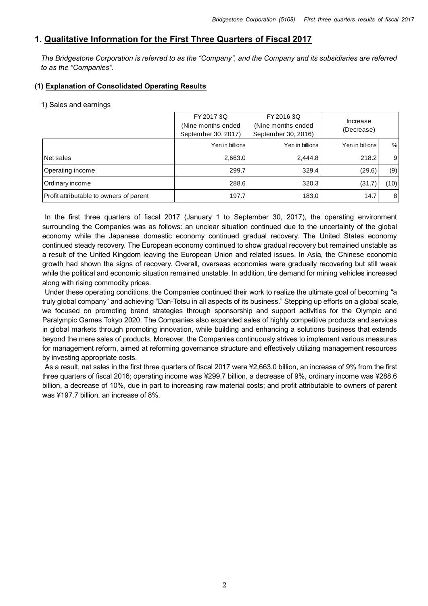## **1. Qualitative Information for the First Three Quarters of Fiscal 2017**

*The Bridgestone Corporation is referred to as the "Company", and the Company and its subsidiaries are referred to as the "Companies".*

## **(1) Explanation of Consolidated Operating Results**

#### 1) Sales and earnings

|                                         | FY 2017 3Q          | FY 2016 3Q          | Increase        |                |
|-----------------------------------------|---------------------|---------------------|-----------------|----------------|
|                                         | (Nine months ended) | (Nine months ended  | (Decrease)      |                |
|                                         | September 30, 2017) | September 30, 2016) |                 |                |
|                                         | Yen in billions     | Yen in billions     | Yen in billions | %              |
| Net sales                               | 2,663.0             | 2.444.8             | 218.2           | 9              |
| Operating income                        | 299.7               | 329.4               | (29.6)          | (9)            |
| Ordinary income                         | 288.6               | 320.3               | (31.7)          | (10)           |
| Profit attributable to owners of parent | 197.7               | 183.0               | 14.7            | 8 <sup>1</sup> |

In the first three quarters of fiscal 2017 (January 1 to September 30, 2017), the operating environment surrounding the Companies was as follows: an unclear situation continued due to the uncertainty of the global economy while the Japanese domestic economy continued gradual recovery. The United States economy continued steady recovery. The European economy continued to show gradual recovery but remained unstable as a result of the United Kingdom leaving the European Union and related issues. In Asia, the Chinese economic growth had shown the signs of recovery. Overall, overseas economies were gradually recovering but still weak while the political and economic situation remained unstable. In addition, tire demand for mining vehicles increased along with rising commodity prices.

Under these operating conditions, the Companies continued their work to realize the ultimate goal of becoming "a truly global company" and achieving "Dan-Totsu in all aspects of its business." Stepping up efforts on a global scale, we focused on promoting brand strategies through sponsorship and support activities for the Olympic and Paralympic Games Tokyo 2020. The Companies also expanded sales of highly competitive products and services in global markets through promoting innovation, while building and enhancing a solutions business that extends beyond the mere sales of products. Moreover, the Companies continuously strives to implement various measures for management reform, aimed at reforming governance structure and effectively utilizing management resources by investing appropriate costs.

As a result, net sales in the first three quarters of fiscal 2017 were ¥2,663.0 billion, an increase of 9% from the first three quarters of fiscal 2016; operating income was ¥299.7 billion, a decrease of 9%, ordinary income was ¥288.6 billion, a decrease of 10%, due in part to increasing raw material costs; and profit attributable to owners of parent was ¥197.7 billion, an increase of 8%.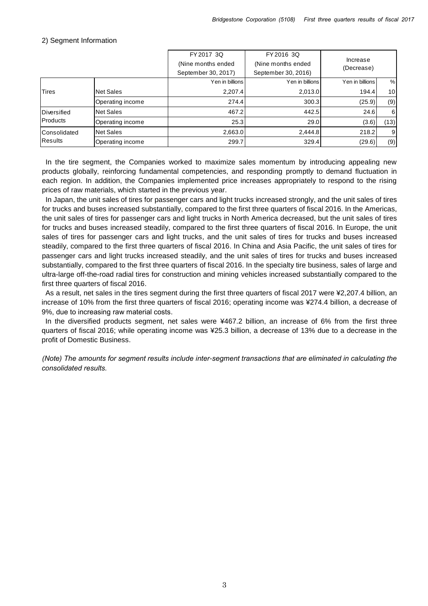|                     |                  | FY 2017 3Q          | FY 2016 3Q          |                        |                 |
|---------------------|------------------|---------------------|---------------------|------------------------|-----------------|
|                     |                  | (Nine months ended) | (Nine months ended) | Increase<br>(Decrease) |                 |
|                     |                  | September 30, 2017) | September 30, 2016) |                        |                 |
|                     |                  | Yen in billions     | Yen in billions     | Yen in billions        | %               |
| <b>Tires</b>        | Net Sales        | 2,207.4             | 2,013.0             | 194.4                  | 10 <sup>1</sup> |
|                     | Operating income | 274.4               | 300.3               | (25.9)                 | (9)             |
| <b>IDiversified</b> | <b>Net Sales</b> | 467.2               | 442.5               | 24.6                   | $6 \mid$        |
| Products            | Operating income | 25.3                | 29.0                | (3.6)                  | (13)            |
| Consolidated        | <b>Net Sales</b> | 2,663.0             | 2,444.8             | 218.2                  | $\overline{9}$  |
| Results             | Operating income | 299.7               | 329.4               | (29.6)                 | (9)             |

#### 2) Segment Information

In the tire segment, the Companies worked to maximize sales momentum by introducing appealing new products globally, reinforcing fundamental competencies, and responding promptly to demand fluctuation in each region. In addition, the Companies implemented price increases appropriately to respond to the rising prices of raw materials, which started in the previous year.

In Japan, the unit sales of tires for passenger cars and light trucks increased strongly, and the unit sales of tires for trucks and buses increased substantially, compared to the first three quarters of fiscal 2016. In the Americas, the unit sales of tires for passenger cars and light trucks in North America decreased, but the unit sales of tires for trucks and buses increased steadily, compared to the first three quarters of fiscal 2016. In Europe, the unit sales of tires for passenger cars and light trucks, and the unit sales of tires for trucks and buses increased steadily, compared to the first three quarters of fiscal 2016. In China and Asia Pacific, the unit sales of tires for passenger cars and light trucks increased steadily, and the unit sales of tires for trucks and buses increased substantially, compared to the first three quarters of fiscal 2016. In the specialty tire business, sales of large and ultra-large off-the-road radial tires for construction and mining vehicles increased substantially compared to the first three quarters of fiscal 2016.

As a result, net sales in the tires segment during the first three quarters of fiscal 2017 were ¥2,207.4 billion, an increase of 10% from the first three quarters of fiscal 2016; operating income was ¥274.4 billion, a decrease of 9%, due to increasing raw material costs.

In the diversified products segment, net sales were ¥467.2 billion, an increase of 6% from the first three quarters of fiscal 2016; while operating income was ¥25.3 billion, a decrease of 13% due to a decrease in the profit of Domestic Business.

*(Note) The amounts for segment results include inter-segment transactions that are eliminated in calculating the consolidated results.*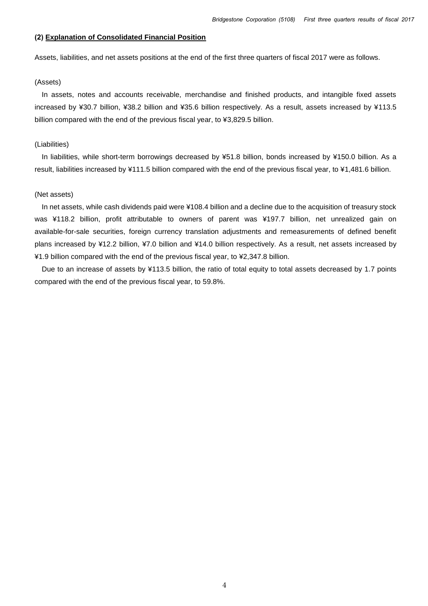#### **(2) Explanation of Consolidated Financial Position**

Assets, liabilities, and net assets positions at the end of the first three quarters of fiscal 2017 were as follows.

#### (Assets)

In assets, notes and accounts receivable, merchandise and finished products, and intangible fixed assets increased by ¥30.7 billion, ¥38.2 billion and ¥35.6 billion respectively. As a result, assets increased by ¥113.5 billion compared with the end of the previous fiscal year, to ¥3,829.5 billion.

#### (Liabilities)

In liabilities, while short-term borrowings decreased by ¥51.8 billion, bonds increased by ¥150.0 billion. As a result, liabilities increased by ¥111.5 billion compared with the end of the previous fiscal year, to ¥1,481.6 billion.

#### (Net assets)

In net assets, while cash dividends paid were ¥108.4 billion and a decline due to the acquisition of treasury stock was ¥118.2 billion, profit attributable to owners of parent was ¥197.7 billion, net unrealized gain on available-for-sale securities, foreign currency translation adjustments and remeasurements of defined benefit plans increased by ¥12.2 billion, ¥7.0 billion and ¥14.0 billion respectively. As a result, net assets increased by ¥1.9 billion compared with the end of the previous fiscal year, to ¥2,347.8 billion.

Due to an increase of assets by ¥113.5 billion, the ratio of total equity to total assets decreased by 1.7 points compared with the end of the previous fiscal year, to 59.8%.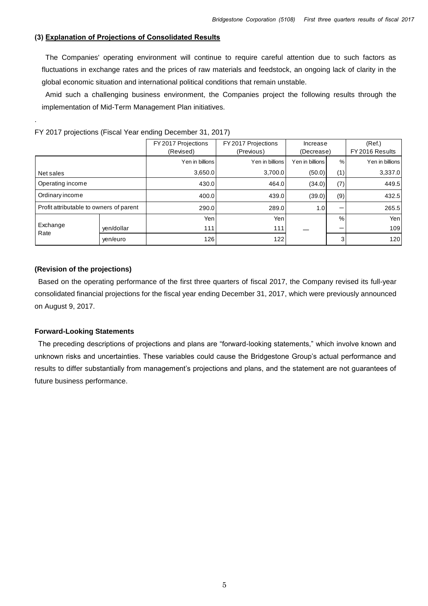### **(3) Explanation of Projections of Consolidated Results**

The Companies' operating environment will continue to require careful attention due to such factors as fluctuations in exchange rates and the prices of raw materials and feedstock, an ongoing lack of clarity in the global economic situation and international political conditions that remain unstable.

Amid such a challenging business environment, the Companies project the following results through the implementation of Mid-Term Management Plan initiatives.

|                                         |            | FY 2017 Projections<br>(Revised) | FY 2017 Projections<br>(Previous) | Increase<br>(Decrease) |      | (Ref.)<br>FY 2016 Results |
|-----------------------------------------|------------|----------------------------------|-----------------------------------|------------------------|------|---------------------------|
|                                         |            | Yen in billions                  | Yen in billions                   | Yen in billions        | %    | Yen in billions           |
| Net sales                               |            | 3,650.0                          | 3,700.0                           | (50.0)                 | (1)  | 3,337.0                   |
| Operating income                        |            | 430.0                            | 464.0                             | (34.0)                 | (7)  | 449.5                     |
| Ordinary income                         |            | 400.0                            | 439.0                             | (39.0)                 | (9)  | 432.5                     |
| Profit attributable to owners of parent |            | 290.0                            | 289.0                             | 1.0                    |      | 265.5                     |
|                                         |            | Yenl                             | Yenl                              |                        | $\%$ | Yen                       |
| Exchange<br>Rate                        | yen/dollar | 111                              | 111                               |                        | –    | 109                       |
|                                         | ven/euro   | 126                              | 122                               |                        | 3    | 120                       |

FY 2017 projections (Fiscal Year ending December 31, 2017)

#### **(Revision of the projections)**

.

Based on the operating performance of the first three quarters of fiscal 2017, the Company revised its full-year consolidated financial projections for the fiscal year ending December 31, 2017, which were previously announced on August 9, 2017.

#### **Forward-Looking Statements**

The preceding descriptions of projections and plans are "forward-looking statements," which involve known and unknown risks and uncertainties. These variables could cause the Bridgestone Group's actual performance and results to differ substantially from management's projections and plans, and the statement are not guarantees of future business performance.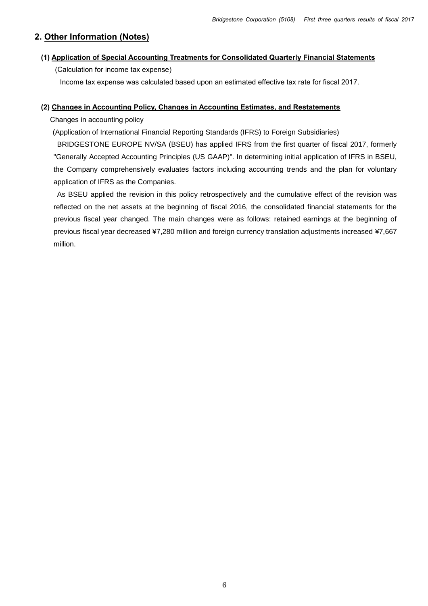# **2. Other Information (Notes)**

## **(1) Application of Special Accounting Treatments for Consolidated Quarterly Financial Statements**

(Calculation for income tax expense)

Income tax expense was calculated based upon an estimated effective tax rate for fiscal 2017.

## **(2) Changes in Accounting Policy, Changes in Accounting Estimates, and Restatements**

Changes in accounting policy

(Application of International Financial Reporting Standards (IFRS) to Foreign Subsidiaries)

BRIDGESTONE EUROPE NV/SA (BSEU) has applied IFRS from the first quarter of fiscal 2017, formerly "Generally Accepted Accounting Principles (US GAAP)". In determining initial application of IFRS in BSEU, the Company comprehensively evaluates factors including accounting trends and the plan for voluntary application of IFRS as the Companies.

As BSEU applied the revision in this policy retrospectively and the cumulative effect of the revision was reflected on the net assets at the beginning of fiscal 2016, the consolidated financial statements for the previous fiscal year changed. The main changes were as follows: retained earnings at the beginning of previous fiscal year decreased ¥7,280 million and foreign currency translation adjustments increased ¥7,667 million.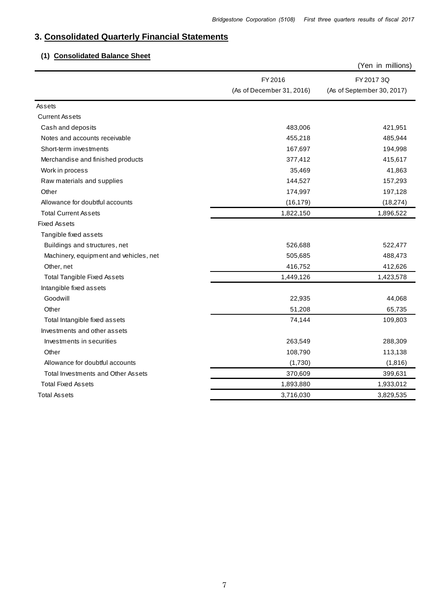# **3. Consolidated Quarterly Financial Statements**

# **(1) Consolidated Balance Sheet**

|                                        |                           | (Yen in millions)          |
|----------------------------------------|---------------------------|----------------------------|
|                                        | FY 2016                   | FY 2017 3Q                 |
|                                        | (As of December 31, 2016) | (As of September 30, 2017) |
| Assets                                 |                           |                            |
| <b>Current Assets</b>                  |                           |                            |
| Cash and deposits                      | 483,006                   | 421,951                    |
| Notes and accounts receivable          | 455,218                   | 485,944                    |
| Short-term investments                 | 167,697                   | 194,998                    |
| Merchandise and finished products      | 377,412                   | 415,617                    |
| Work in process                        | 35,469                    | 41,863                     |
| Raw materials and supplies             | 144,527                   | 157,293                    |
| Other                                  | 174,997                   | 197,128                    |
| Allowance for doubtful accounts        | (16, 179)                 | (18, 274)                  |
| <b>Total Current Assets</b>            | 1,822,150                 | 1,896,522                  |
| <b>Fixed Assets</b>                    |                           |                            |
| Tangible fixed assets                  |                           |                            |
| Buildings and structures, net          | 526,688                   | 522,477                    |
| Machinery, equipment and vehicles, net | 505,685                   | 488,473                    |
| Other, net                             | 416,752                   | 412,626                    |
| <b>Total Tangible Fixed Assets</b>     | 1,449,126                 | 1,423,578                  |
| Intangible fixed assets                |                           |                            |
| Goodwill                               | 22,935                    | 44,068                     |
| Other                                  | 51,208                    | 65,735                     |
| Total Intangible fixed assets          | 74,144                    | 109,803                    |
| Investments and other assets           |                           |                            |
| Investments in securities              | 263,549                   | 288,309                    |
| Other                                  | 108,790                   | 113,138                    |
| Allowance for doubtful accounts        | (1,730)                   | (1,816)                    |
| Total Investments and Other Assets     | 370,609                   | 399,631                    |
| <b>Total Fixed Assets</b>              | 1,893,880                 | 1,933,012                  |
| <b>Total Assets</b>                    | 3,716,030                 | 3,829,535                  |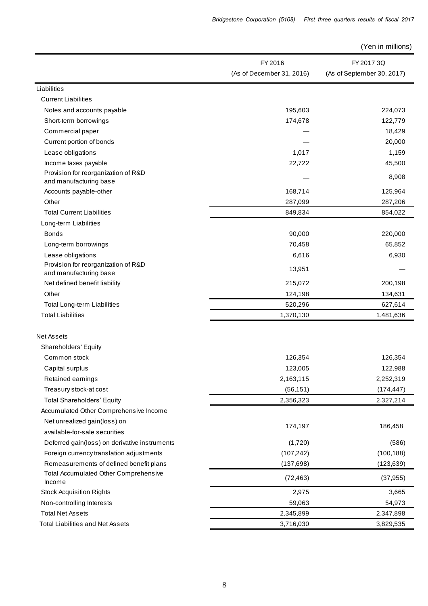(Yen in millions)

|                                                               | FY 2016                   | FY 2017 3Q                 |
|---------------------------------------------------------------|---------------------------|----------------------------|
|                                                               | (As of December 31, 2016) | (As of September 30, 2017) |
| Liabilities                                                   |                           |                            |
| <b>Current Liabilities</b>                                    |                           |                            |
| Notes and accounts payable                                    | 195,603                   | 224,073                    |
|                                                               |                           |                            |
| Short-term borrowings                                         | 174,678                   | 122,779                    |
| Commercial paper                                              |                           | 18,429                     |
| Current portion of bonds                                      |                           | 20,000                     |
| Lease obligations                                             | 1,017                     | 1,159                      |
| Income taxes payable                                          | 22,722                    | 45,500                     |
| Provision for reorganization of R&D<br>and manufacturing base |                           | 8,908                      |
| Accounts payable-other                                        | 168,714                   | 125,964                    |
| Other                                                         | 287,099                   | 287,206                    |
| <b>Total Current Liabilities</b>                              | 849,834                   | 854,022                    |
| Long-term Liabilities                                         |                           |                            |
| <b>Bonds</b>                                                  | 90,000                    | 220,000                    |
| Long-term borrowings                                          | 70,458                    | 65,852                     |
| Lease obligations                                             | 6,616                     | 6,930                      |
| Provision for reorganization of R&D                           |                           |                            |
| and manufacturing base                                        | 13,951                    |                            |
| Net defined benefit liability                                 | 215,072                   | 200,198                    |
| Other                                                         | 124,198                   | 134,631                    |
| Total Long-term Liabilities                                   | 520,296                   | 627,614                    |
| <b>Total Liabilities</b>                                      | 1,370,130                 | 1,481,636                  |
|                                                               |                           |                            |
| <b>Net Assets</b>                                             |                           |                            |
| <b>Shareholders' Equity</b>                                   |                           |                            |
| Common stock                                                  | 126,354                   | 126,354                    |
| Capital surplus                                               | 123,005                   | 122,988                    |
| Retained earnings                                             | 2,163,115                 | 2,252,319                  |
| Treasury stock-at cost                                        | (56, 151)                 | (174, 447)                 |
| <b>Total Shareholders' Equity</b>                             | 2,356,323                 | 2,327,214                  |
| Accumulated Other Comprehensive Income                        |                           |                            |
| Net unrealized gain(loss) on                                  |                           |                            |
| available-for-sale securities                                 | 174,197                   | 186,458                    |
| Deferred gain(loss) on derivative instruments                 | (1,720)                   | (586)                      |
| Foreign currency translation adjustments                      | (107, 242)                | (100, 188)                 |
| Remeasurements of defined benefit plans                       | (137, 698)                | (123, 639)                 |
| Total Accumulated Other Comprehensive                         |                           |                            |
| Income                                                        | (72, 463)                 | (37, 955)                  |
| <b>Stock Acquisition Rights</b>                               | 2,975                     | 3,665                      |
| Non-controlling Interests                                     | 59,063                    | 54,973                     |
| <b>Total Net Assets</b>                                       | 2,345,899                 | 2,347,898                  |
| <b>Total Liabilities and Net Assets</b>                       | 3,716,030                 | 3,829,535                  |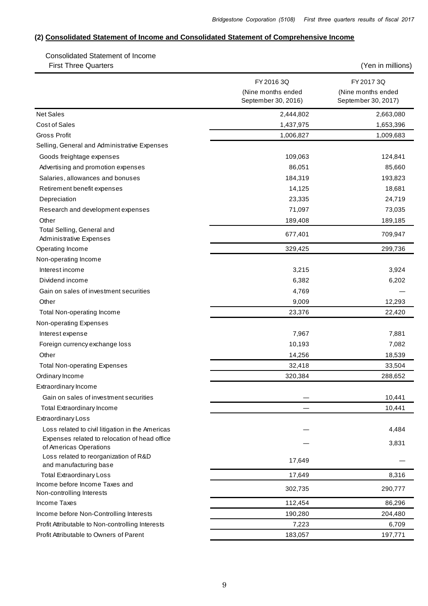## **(2) Consolidated Statement of Income and Consolidated Statement of Comprehensive Income**

 Consolidated Statement of Income First Three Quarters (Yen in millions)

|                                                                         | FY 2016 3Q<br>(Nine months ended | FY 2017 3Q<br>(Nine months ended |
|-------------------------------------------------------------------------|----------------------------------|----------------------------------|
|                                                                         | September 30, 2016)              | September 30, 2017)              |
| <b>Net Sales</b>                                                        | 2,444,802                        | 2,663,080                        |
| <b>Cost of Sales</b>                                                    | 1,437,975                        | 1,653,396                        |
| <b>Gross Profit</b>                                                     | 1,006,827                        | 1,009,683                        |
| Selling, General and Administrative Expenses                            |                                  |                                  |
| Goods freightage expenses                                               | 109,063                          | 124,841                          |
| Advertising and promotion expenses                                      | 86,051                           | 85,660                           |
| Salaries, allowances and bonuses                                        | 184,319                          | 193,823                          |
| Retirement benefit expenses                                             | 14,125                           | 18,681                           |
| Depreciation                                                            | 23,335                           | 24,719                           |
| Research and development expenses                                       | 71,097                           | 73,035                           |
| Other                                                                   | 189,408                          | 189,185                          |
| Total Selling, General and<br><b>Administrative Expenses</b>            | 677,401                          | 709,947                          |
| Operating Income                                                        | 329,425                          | 299,736                          |
| Non-operating Income                                                    |                                  |                                  |
| Interest income                                                         | 3,215                            | 3,924                            |
| Dividend income                                                         | 6,382                            | 6,202                            |
| Gain on sales of investment securities                                  | 4,769                            |                                  |
| Other                                                                   | 9,009                            | 12,293                           |
| <b>Total Non-operating Income</b>                                       | 23,376                           | 22,420                           |
| Non-operating Expenses                                                  |                                  |                                  |
| Interest expense                                                        | 7,967                            | 7,881                            |
| Foreign currency exchange loss                                          | 10,193                           | 7,082                            |
| Other                                                                   | 14,256                           | 18,539                           |
| <b>Total Non-operating Expenses</b>                                     | 32,418                           | 33,504                           |
| Ordinary Income                                                         | 320,384                          | 288,652                          |
| Extraordinary Income                                                    |                                  |                                  |
| Gain on sales of investment securities                                  |                                  | 10,441                           |
| <b>Total Extraordinary Income</b>                                       |                                  | 10,441                           |
| <b>Extraordinary Loss</b>                                               |                                  |                                  |
| Loss related to civil litigation in the Americas                        |                                  | 4,484                            |
| Expenses related to relocation of head office<br>of Americas Operations |                                  | 3,831                            |
| Loss related to reorganization of R&D<br>and manufacturing base         | 17,649                           |                                  |
| <b>Total Extraordinary Loss</b>                                         | 17,649                           | 8,316                            |
| Income before Income Taxes and                                          | 302,735                          | 290,777                          |
| Non-controlling Interests                                               |                                  |                                  |
| Income Taxes                                                            | 112,454                          | 86,296                           |
| Income before Non-Controlling Interests                                 | 190,280                          | 204,480                          |
| Profit Attributable to Non-controlling Interests                        | 7,223                            | 6,709                            |
| Profit Attributable to Owners of Parent                                 | 183,057                          | 197,771                          |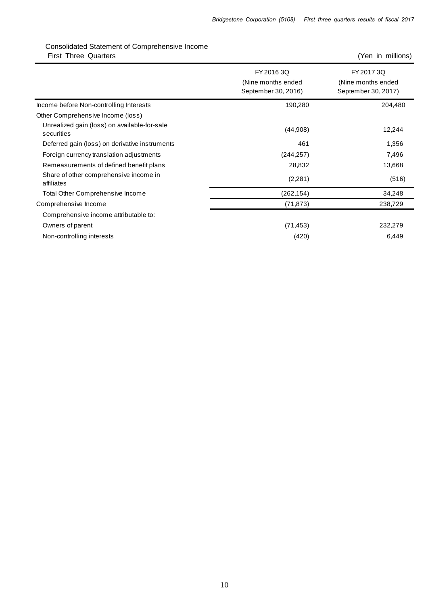# Consolidated Statement of Comprehensive Income First Three Quarters (Yen in millions)

|                                                            | FY 2016 3Q<br>(Nine months ended<br>September 30, 2016) | FY 2017 3Q<br>(Nine months ended<br>September 30, 2017) |
|------------------------------------------------------------|---------------------------------------------------------|---------------------------------------------------------|
| Income before Non-controlling Interests                    | 190,280                                                 | 204,480                                                 |
| Other Comprehensive Income (loss)                          |                                                         |                                                         |
| Unrealized gain (loss) on available-for-sale<br>securities | (44,908)                                                | 12,244                                                  |
| Deferred gain (loss) on derivative instruments             | 461                                                     | 1,356                                                   |
| Foreign currency translation adjustments                   | (244, 257)                                              | 7,496                                                   |
| Remeasurements of defined benefit plans                    | 28,832                                                  | 13,668                                                  |
| Share of other comprehensive income in<br>affiliates       | (2,281)                                                 | (516)                                                   |
| <b>Total Other Comprehensive Income</b>                    | (262,154)                                               | 34,248                                                  |
| Comprehensive Income                                       | (71, 873)                                               | 238,729                                                 |
| Comprehensive income attributable to:                      |                                                         |                                                         |
| Owners of parent                                           | (71, 453)                                               | 232,279                                                 |
| Non-controlling interests                                  | (420)                                                   | 6,449                                                   |